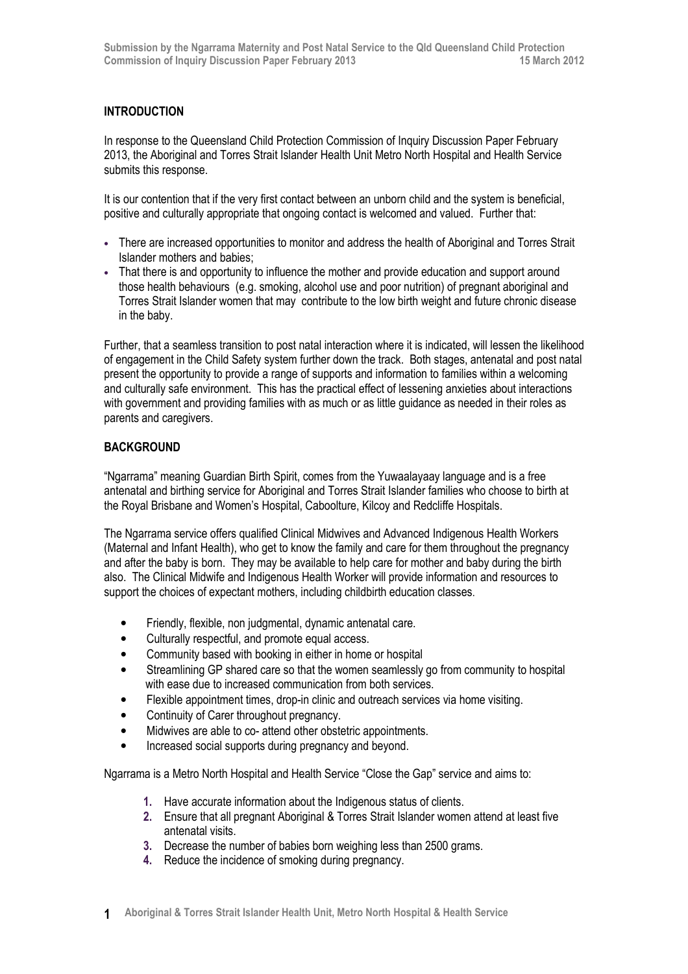# INTRODUCTION

In response to the Queensland Child Protection Commission of Inquiry Discussion Paper February 2013, the Aboriginal and Torres Strait Islander Health Unit Metro North Hospital and Health Service submits this response.

It is our contention that if the very first contact between an unborn child and the system is beneficial, positive and culturally appropriate that ongoing contact is welcomed and valued. Further that:

- There are increased opportunities to monitor and address the health of Aboriginal and Torres Strait Islander mothers and babies;
- That there is and opportunity to influence the mother and provide education and support around those health behaviours (e.g. smoking, alcohol use and poor nutrition) of pregnant aboriginal and Torres Strait Islander women that may contribute to the low birth weight and future chronic disease in the baby.

Further, that a seamless transition to post natal interaction where it is indicated, will lessen the likelihood of engagement in the Child Safety system further down the track. Both stages, antenatal and post natal present the opportunity to provide a range of supports and information to families within a welcoming and culturally safe environment. This has the practical effect of lessening anxieties about interactions with government and providing families with as much or as little guidance as needed in their roles as parents and caregivers.

## BACKGROUND

"Ngarrama" meaning Guardian Birth Spirit, comes from the Yuwaalayaay language and is a free antenatal and birthing service for Aboriginal and Torres Strait Islander families who choose to birth at the Royal Brisbane and Women's Hospital, Caboolture, Kilcoy and Redcliffe Hospitals.

The Ngarrama service offers qualified Clinical Midwives and Advanced Indigenous Health Workers (Maternal and Infant Health), who get to know the family and care for them throughout the pregnancy and after the baby is born. They may be available to help care for mother and baby during the birth also. The Clinical Midwife and Indigenous Health Worker will provide information and resources to support the choices of expectant mothers, including childbirth education classes.

- Friendly, flexible, non judgmental, dynamic antenatal care.
- Culturally respectful, and promote equal access.
- Community based with booking in either in home or hospital
- Streamlining GP shared care so that the women seamlessly go from community to hospital with ease due to increased communication from both services.
- Flexible appointment times, drop-in clinic and outreach services via home visiting.
- Continuity of Carer throughout pregnancy.
- Midwives are able to co- attend other obstetric appointments.
- Increased social supports during pregnancy and beyond.

Ngarrama is a Metro North Hospital and Health Service "Close the Gap" service and aims to:

- 1. Have accurate information about the Indigenous status of clients.
- 2. Ensure that all pregnant Aboriginal & Torres Strait Islander women attend at least five antenatal visits.
- 3. Decrease the number of babies born weighing less than 2500 grams.
- 4. Reduce the incidence of smoking during pregnancy.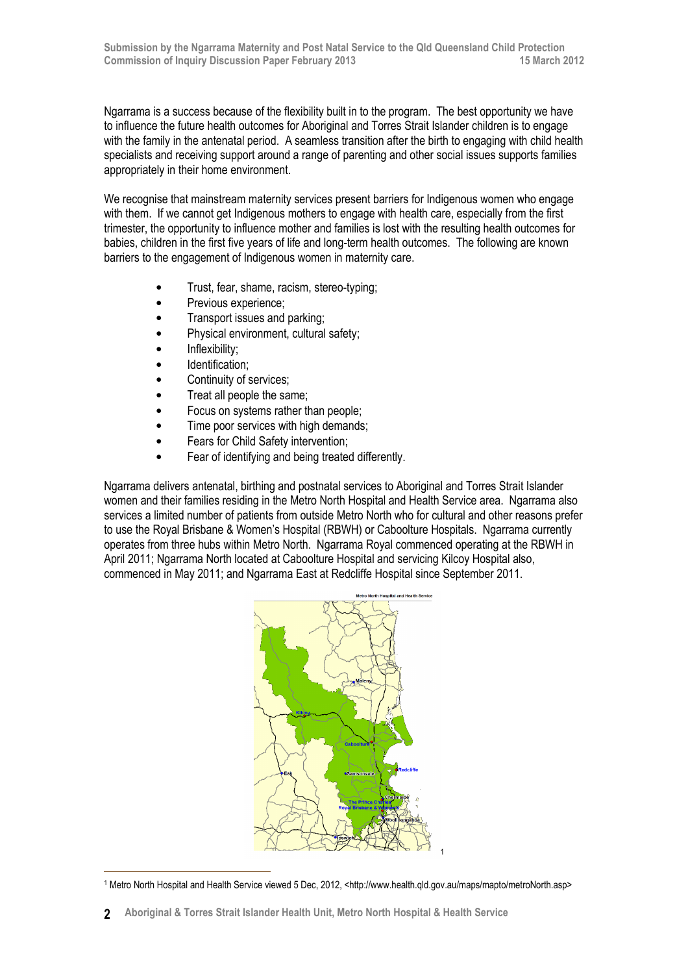Ngarrama is a success because of the flexibility built in to the program. The best opportunity we have to influence the future health outcomes for Aboriginal and Torres Strait Islander children is to engage with the family in the antenatal period. A seamless transition after the birth to engaging with child health specialists and receiving support around a range of parenting and other social issues supports families appropriately in their home environment.

We recognise that mainstream maternity services present barriers for Indigenous women who engage with them. If we cannot get Indigenous mothers to engage with health care, especially from the first trimester, the opportunity to influence mother and families is lost with the resulting health outcomes for babies, children in the first five years of life and long-term health outcomes. The following are known barriers to the engagement of Indigenous women in maternity care.

- Trust, fear, shame, racism, stereo-typing;
- Previous experience;
- Transport issues and parking;
- Physical environment, cultural safety;
- Inflexibility;

 $\overline{a}$ 

- Identification;
- Continuity of services;
- Treat all people the same;
- Focus on systems rather than people;
- Time poor services with high demands:
- Fears for Child Safety intervention;
- Fear of identifying and being treated differently.

Ngarrama delivers antenatal, birthing and postnatal services to Aboriginal and Torres Strait Islander women and their families residing in the Metro North Hospital and Health Service area. Ngarrama also services a limited number of patients from outside Metro North who for cultural and other reasons prefer to use the Royal Brisbane & Women's Hospital (RBWH) or Caboolture Hospitals. Ngarrama currently operates from three hubs within Metro North. Ngarrama Royal commenced operating at the RBWH in April 2011; Ngarrama North located at Caboolture Hospital and servicing Kilcoy Hospital also, commenced in May 2011; and Ngarrama East at Redcliffe Hospital since September 2011.



<sup>1</sup> Metro North Hospital and Health Service viewed 5 Dec, 2012, <http://www.health.qld.gov.au/maps/mapto/metroNorth.asp>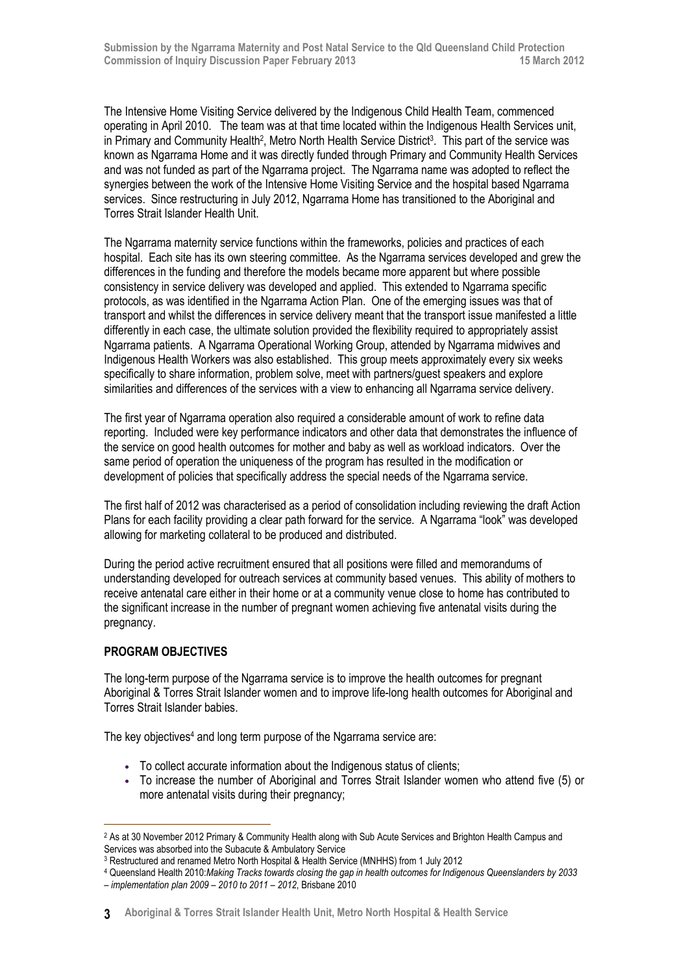The Intensive Home Visiting Service delivered by the Indigenous Child Health Team, commenced operating in April 2010. The team was at that time located within the Indigenous Health Services unit, in Primary and Community Health<sup>2</sup>, Metro North Health Service District<sup>3</sup>. This part of the service was known as Ngarrama Home and it was directly funded through Primary and Community Health Services and was not funded as part of the Ngarrama project. The Ngarrama name was adopted to reflect the synergies between the work of the Intensive Home Visiting Service and the hospital based Ngarrama services. Since restructuring in July 2012, Ngarrama Home has transitioned to the Aboriginal and Torres Strait Islander Health Unit.

The Ngarrama maternity service functions within the frameworks, policies and practices of each hospital. Each site has its own steering committee. As the Ngarrama services developed and grew the differences in the funding and therefore the models became more apparent but where possible consistency in service delivery was developed and applied. This extended to Ngarrama specific protocols, as was identified in the Ngarrama Action Plan. One of the emerging issues was that of transport and whilst the differences in service delivery meant that the transport issue manifested a little differently in each case, the ultimate solution provided the flexibility required to appropriately assist Ngarrama patients. A Ngarrama Operational Working Group, attended by Ngarrama midwives and Indigenous Health Workers was also established. This group meets approximately every six weeks specifically to share information, problem solve, meet with partners/guest speakers and explore similarities and differences of the services with a view to enhancing all Ngarrama service delivery.

The first year of Ngarrama operation also required a considerable amount of work to refine data reporting. Included were key performance indicators and other data that demonstrates the influence of the service on good health outcomes for mother and baby as well as workload indicators. Over the same period of operation the uniqueness of the program has resulted in the modification or development of policies that specifically address the special needs of the Ngarrama service.

The first half of 2012 was characterised as a period of consolidation including reviewing the draft Action Plans for each facility providing a clear path forward for the service. A Ngarrama "look" was developed allowing for marketing collateral to be produced and distributed.

During the period active recruitment ensured that all positions were filled and memorandums of understanding developed for outreach services at community based venues. This ability of mothers to receive antenatal care either in their home or at a community venue close to home has contributed to the significant increase in the number of pregnant women achieving five antenatal visits during the pregnancy.

## PROGRAM OBJECTIVES

 $\overline{a}$ 

The long-term purpose of the Ngarrama service is to improve the health outcomes for pregnant Aboriginal & Torres Strait Islander women and to improve life-long health outcomes for Aboriginal and Torres Strait Islander babies.

The key objectives<sup>4</sup> and long term purpose of the Ngarrama service are:

- To collect accurate information about the Indigenous status of clients;
- To increase the number of Aboriginal and Torres Strait Islander women who attend five (5) or more antenatal visits during their pregnancy;

<sup>2</sup> As at 30 November 2012 Primary & Community Health along with Sub Acute Services and Brighton Health Campus and Services was absorbed into the Subacute & Ambulatory Service

<sup>3</sup> Restructured and renamed Metro North Hospital & Health Service (MNHHS) from 1 July 2012

<sup>4</sup> Queensland Health 2010:Making Tracks towards closing the gap in health outcomes for Indigenous Queenslanders by 2033 – implementation plan 2009 – 2010 to 2011 – 2012, Brisbane 2010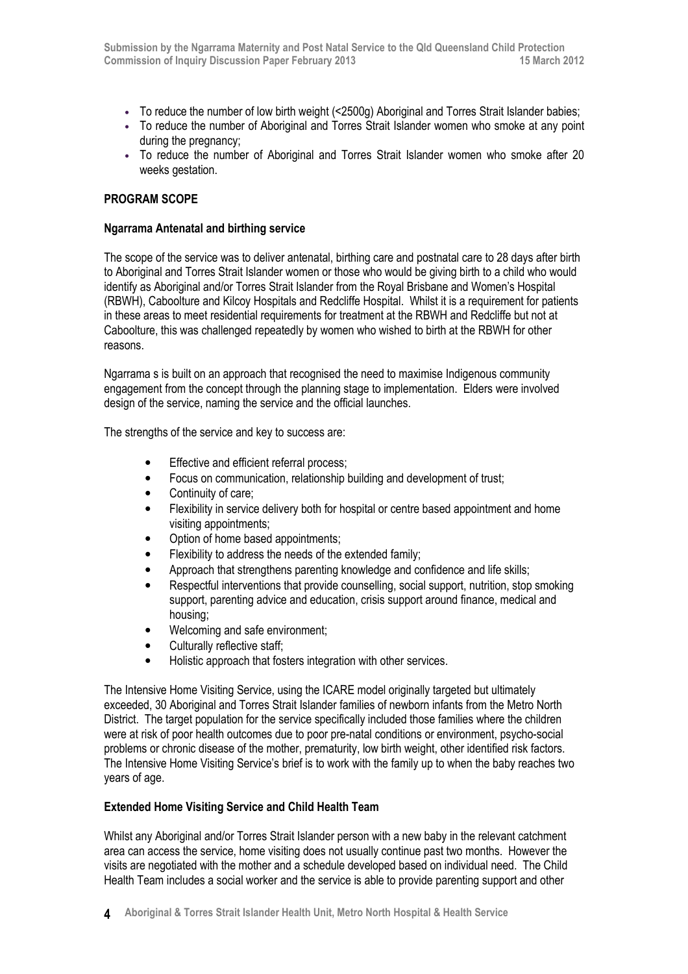- To reduce the number of low birth weight (<2500g) Aboriginal and Torres Strait Islander babies;
- To reduce the number of Aboriginal and Torres Strait Islander women who smoke at any point during the pregnancy;
- To reduce the number of Aboriginal and Torres Strait Islander women who smoke after 20 weeks gestation.

### PROGRAM SCOPE

### Ngarrama Antenatal and birthing service

The scope of the service was to deliver antenatal, birthing care and postnatal care to 28 days after birth to Aboriginal and Torres Strait Islander women or those who would be giving birth to a child who would identify as Aboriginal and/or Torres Strait Islander from the Royal Brisbane and Women's Hospital (RBWH), Caboolture and Kilcoy Hospitals and Redcliffe Hospital. Whilst it is a requirement for patients in these areas to meet residential requirements for treatment at the RBWH and Redcliffe but not at Caboolture, this was challenged repeatedly by women who wished to birth at the RBWH for other reasons.

Ngarrama s is built on an approach that recognised the need to maximise Indigenous community engagement from the concept through the planning stage to implementation. Elders were involved design of the service, naming the service and the official launches.

The strengths of the service and key to success are:

- Effective and efficient referral process:
- Focus on communication, relationship building and development of trust;
- Continuity of care:
- Flexibility in service delivery both for hospital or centre based appointment and home visiting appointments;
- Option of home based appointments;
- Flexibility to address the needs of the extended family;
- Approach that strengthens parenting knowledge and confidence and life skills;
- Respectful interventions that provide counselling, social support, nutrition, stop smoking support, parenting advice and education, crisis support around finance, medical and housing;
- Welcoming and safe environment;
- Culturally reflective staff;
- Holistic approach that fosters integration with other services.

The Intensive Home Visiting Service, using the ICARE model originally targeted but ultimately exceeded, 30 Aboriginal and Torres Strait Islander families of newborn infants from the Metro North District. The target population for the service specifically included those families where the children were at risk of poor health outcomes due to poor pre-natal conditions or environment, psycho-social problems or chronic disease of the mother, prematurity, low birth weight, other identified risk factors. The Intensive Home Visiting Service's brief is to work with the family up to when the baby reaches two years of age.

## Extended Home Visiting Service and Child Health Team

Whilst any Aboriginal and/or Torres Strait Islander person with a new baby in the relevant catchment area can access the service, home visiting does not usually continue past two months. However the visits are negotiated with the mother and a schedule developed based on individual need. The Child Health Team includes a social worker and the service is able to provide parenting support and other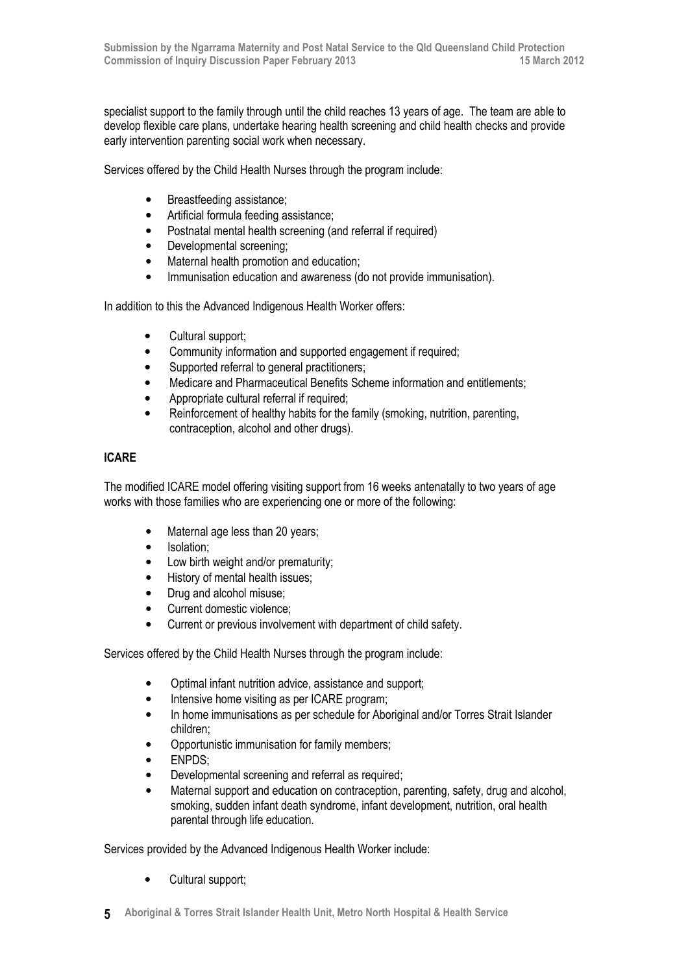specialist support to the family through until the child reaches 13 years of age. The team are able to develop flexible care plans, undertake hearing health screening and child health checks and provide early intervention parenting social work when necessary.

Services offered by the Child Health Nurses through the program include:

- Breastfeeding assistance;
- Artificial formula feeding assistance;
- Postnatal mental health screening (and referral if required)
- Developmental screening;
- Maternal health promotion and education;
- Immunisation education and awareness (do not provide immunisation).

In addition to this the Advanced Indigenous Health Worker offers:

- Cultural support;
- Community information and supported engagement if required;
- Supported referral to general practitioners;
- Medicare and Pharmaceutical Benefits Scheme information and entitlements;
- Appropriate cultural referral if required;
- Reinforcement of healthy habits for the family (smoking, nutrition, parenting, contraception, alcohol and other drugs).

# ICARE

The modified ICARE model offering visiting support from 16 weeks antenatally to two years of age works with those families who are experiencing one or more of the following:

- Maternal age less than 20 years;
- Isolation:
- Low birth weight and/or prematurity;
- History of mental health issues;
- Drug and alcohol misuse;
- Current domestic violence;
- Current or previous involvement with department of child safety.

Services offered by the Child Health Nurses through the program include:

- Optimal infant nutrition advice, assistance and support;
- Intensive home visiting as per ICARE program;
- In home immunisations as per schedule for Aboriginal and/or Torres Strait Islander children;
- Opportunistic immunisation for family members;
- ENPDS;
- Developmental screening and referral as required;
- Maternal support and education on contraception, parenting, safety, drug and alcohol, smoking, sudden infant death syndrome, infant development, nutrition, oral health parental through life education.

Services provided by the Advanced Indigenous Health Worker include:

- Cultural support;
- 5 Aboriginal & Torres Strait Islander Health Unit, Metro North Hospital & Health Service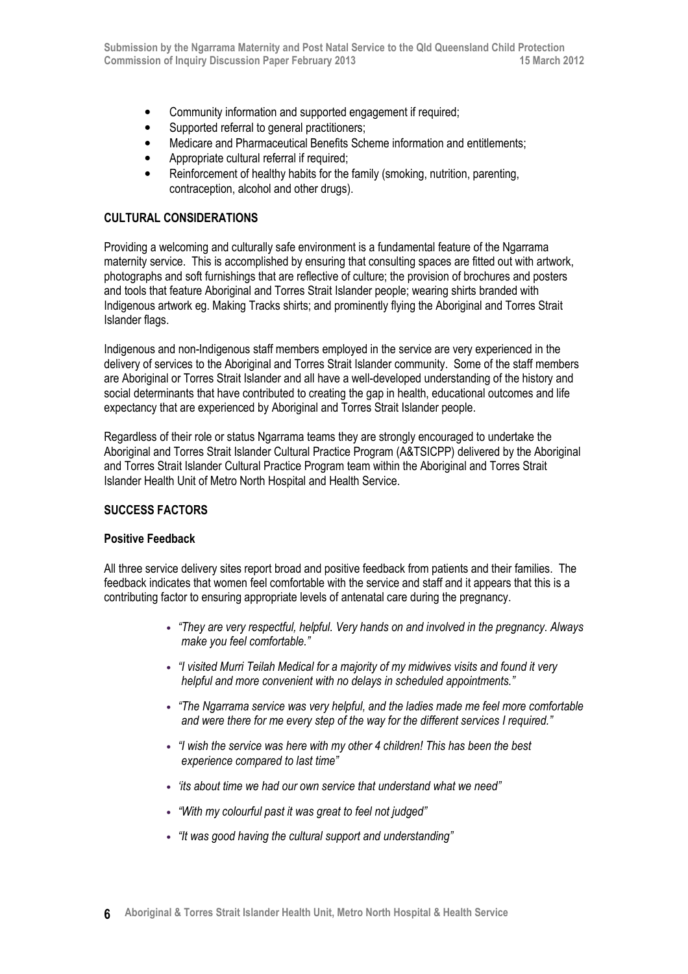- Community information and supported engagement if required:
- Supported referral to general practitioners;
- Medicare and Pharmaceutical Benefits Scheme information and entitlements;
- Appropriate cultural referral if required;
- Reinforcement of healthy habits for the family (smoking, nutrition, parenting, contraception, alcohol and other drugs).

### CULTURAL CONSIDERATIONS

Providing a welcoming and culturally safe environment is a fundamental feature of the Ngarrama maternity service. This is accomplished by ensuring that consulting spaces are fitted out with artwork, photographs and soft furnishings that are reflective of culture; the provision of brochures and posters and tools that feature Aboriginal and Torres Strait Islander people; wearing shirts branded with Indigenous artwork eg. Making Tracks shirts; and prominently flying the Aboriginal and Torres Strait Islander flags.

Indigenous and non-Indigenous staff members employed in the service are very experienced in the delivery of services to the Aboriginal and Torres Strait Islander community. Some of the staff members are Aboriginal or Torres Strait Islander and all have a well-developed understanding of the history and social determinants that have contributed to creating the gap in health, educational outcomes and life expectancy that are experienced by Aboriginal and Torres Strait Islander people.

Regardless of their role or status Ngarrama teams they are strongly encouraged to undertake the Aboriginal and Torres Strait Islander Cultural Practice Program (A&TSICPP) delivered by the Aboriginal and Torres Strait Islander Cultural Practice Program team within the Aboriginal and Torres Strait Islander Health Unit of Metro North Hospital and Health Service.

## SUCCESS FACTORS

#### Positive Feedback

All three service delivery sites report broad and positive feedback from patients and their families. The feedback indicates that women feel comfortable with the service and staff and it appears that this is a contributing factor to ensuring appropriate levels of antenatal care during the pregnancy.

- "They are very respectful, helpful. Very hands on and involved in the pregnancy. Always make you feel comfortable."
- "I visited Murri Teilah Medical for a majority of my midwives visits and found it very helpful and more convenient with no delays in scheduled appointments."
- "The Ngarrama service was very helpful, and the ladies made me feel more comfortable and were there for me every step of the way for the different services I required."
- "I wish the service was here with my other 4 children! This has been the best experience compared to last time"
- 'its about time we had our own service that understand what we need"
- "With my colourful past it was great to feel not judged"
- "It was good having the cultural support and understanding"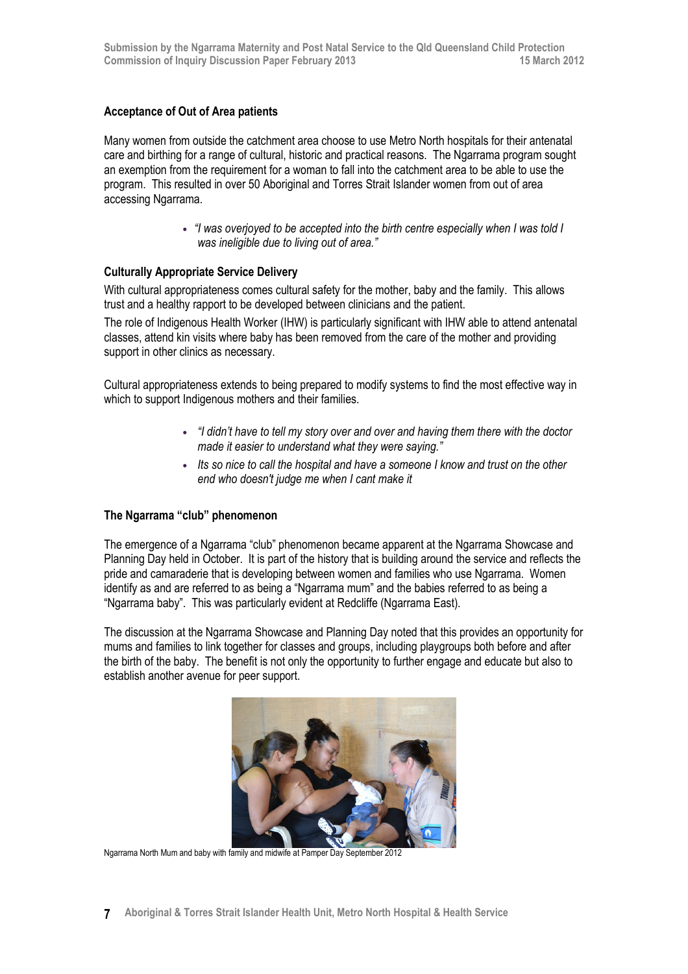### Acceptance of Out of Area patients

Many women from outside the catchment area choose to use Metro North hospitals for their antenatal care and birthing for a range of cultural, historic and practical reasons. The Ngarrama program sought an exemption from the requirement for a woman to fall into the catchment area to be able to use the program. This resulted in over 50 Aboriginal and Torres Strait Islander women from out of area accessing Ngarrama.

> • "I was overjoyed to be accepted into the birth centre especially when I was told I was ineligible due to living out of area."

### Culturally Appropriate Service Delivery

With cultural appropriateness comes cultural safety for the mother, baby and the family. This allows trust and a healthy rapport to be developed between clinicians and the patient.

The role of Indigenous Health Worker (IHW) is particularly significant with IHW able to attend antenatal classes, attend kin visits where baby has been removed from the care of the mother and providing support in other clinics as necessary.

Cultural appropriateness extends to being prepared to modify systems to find the most effective way in which to support Indigenous mothers and their families.

- "I didn't have to tell my story over and over and having them there with the doctor made it easier to understand what they were saying."
- Its so nice to call the hospital and have a someone I know and trust on the other end who doesn't judge me when I cant make it

#### The Ngarrama "club" phenomenon

The emergence of a Ngarrama "club" phenomenon became apparent at the Ngarrama Showcase and Planning Day held in October. It is part of the history that is building around the service and reflects the pride and camaraderie that is developing between women and families who use Ngarrama. Women identify as and are referred to as being a "Ngarrama mum" and the babies referred to as being a "Ngarrama baby". This was particularly evident at Redcliffe (Ngarrama East).

The discussion at the Ngarrama Showcase and Planning Day noted that this provides an opportunity for mums and families to link together for classes and groups, including playgroups both before and after the birth of the baby. The benefit is not only the opportunity to further engage and educate but also to establish another avenue for peer support.



Ngarrama North Mum and baby with family and midwife at Pamper Day September 2012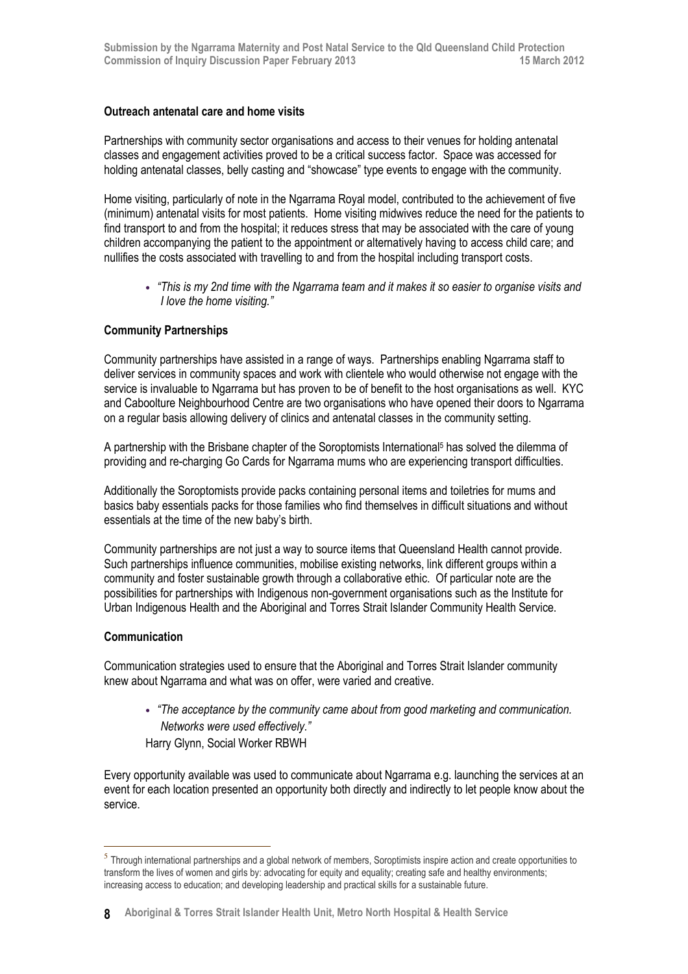## Outreach antenatal care and home visits

Partnerships with community sector organisations and access to their venues for holding antenatal classes and engagement activities proved to be a critical success factor. Space was accessed for holding antenatal classes, belly casting and "showcase" type events to engage with the community.

Home visiting, particularly of note in the Ngarrama Royal model, contributed to the achievement of five (minimum) antenatal visits for most patients. Home visiting midwives reduce the need for the patients to find transport to and from the hospital; it reduces stress that may be associated with the care of young children accompanying the patient to the appointment or alternatively having to access child care; and nullifies the costs associated with travelling to and from the hospital including transport costs.

• "This is my 2nd time with the Ngarrama team and it makes it so easier to organise visits and I love the home visiting."

## Community Partnerships

Community partnerships have assisted in a range of ways. Partnerships enabling Ngarrama staff to deliver services in community spaces and work with clientele who would otherwise not engage with the service is invaluable to Ngarrama but has proven to be of benefit to the host organisations as well. KYC and Caboolture Neighbourhood Centre are two organisations who have opened their doors to Ngarrama on a regular basis allowing delivery of clinics and antenatal classes in the community setting.

A partnership with the Brisbane chapter of the Soroptomists International<sup>5</sup> has solved the dilemma of providing and re-charging Go Cards for Ngarrama mums who are experiencing transport difficulties.

Additionally the Soroptomists provide packs containing personal items and toiletries for mums and basics baby essentials packs for those families who find themselves in difficult situations and without essentials at the time of the new baby's birth.

Community partnerships are not just a way to source items that Queensland Health cannot provide. Such partnerships influence communities, mobilise existing networks, link different groups within a community and foster sustainable growth through a collaborative ethic. Of particular note are the possibilities for partnerships with Indigenous non-government organisations such as the Institute for Urban Indigenous Health and the Aboriginal and Torres Strait Islander Community Health Service.

#### **Communication**

l

Communication strategies used to ensure that the Aboriginal and Torres Strait Islander community knew about Ngarrama and what was on offer, were varied and creative.

• "The acceptance by the community came about from good marketing and communication. Networks were used effectively." Harry Glynn, Social Worker RBWH

Every opportunity available was used to communicate about Ngarrama e.g. launching the services at an event for each location presented an opportunity both directly and indirectly to let people know about the service.

 $<sup>5</sup>$  Through international partnerships and a global network of members, Soroptimists inspire action and create opportunities to</sup> transform the lives of women and girls by: advocating for equity and equality; creating safe and healthy environments; increasing access to education; and developing leadership and practical skills for a sustainable future.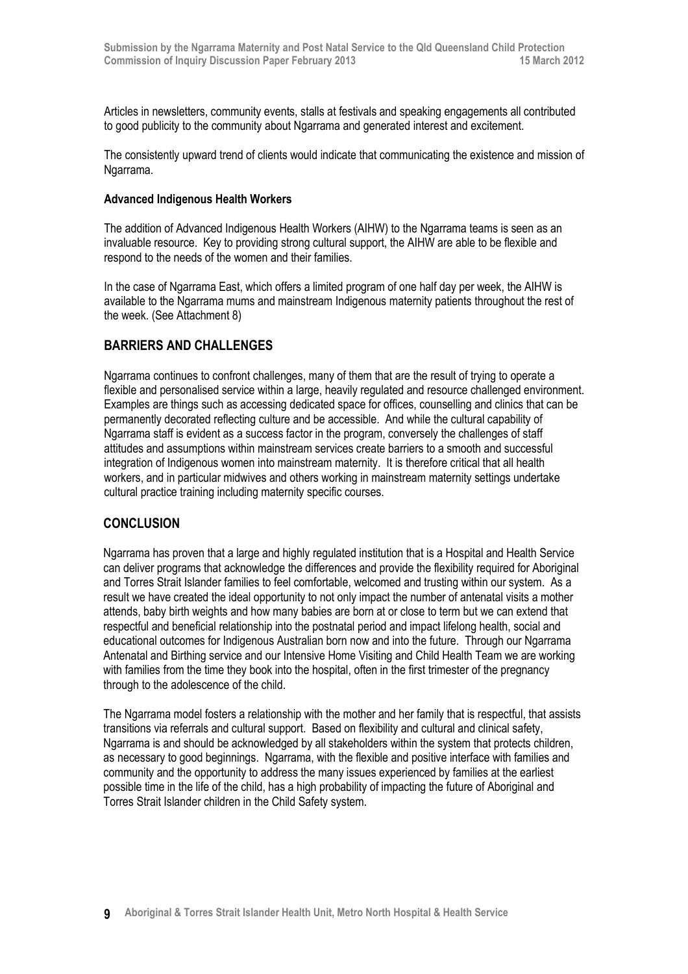Articles in newsletters, community events, stalls at festivals and speaking engagements all contributed to good publicity to the community about Ngarrama and generated interest and excitement.

The consistently upward trend of clients would indicate that communicating the existence and mission of Ngarrama.

#### Advanced Indigenous Health Workers

The addition of Advanced Indigenous Health Workers (AIHW) to the Ngarrama teams is seen as an invaluable resource. Key to providing strong cultural support, the AIHW are able to be flexible and respond to the needs of the women and their families.

In the case of Ngarrama East, which offers a limited program of one half day per week, the AIHW is available to the Ngarrama mums and mainstream Indigenous maternity patients throughout the rest of the week. (See Attachment 8)

# BARRIERS AND CHALLENGES

Ngarrama continues to confront challenges, many of them that are the result of trying to operate a flexible and personalised service within a large, heavily regulated and resource challenged environment. Examples are things such as accessing dedicated space for offices, counselling and clinics that can be permanently decorated reflecting culture and be accessible. And while the cultural capability of Ngarrama staff is evident as a success factor in the program, conversely the challenges of staff attitudes and assumptions within mainstream services create barriers to a smooth and successful integration of Indigenous women into mainstream maternity. It is therefore critical that all health workers, and in particular midwives and others working in mainstream maternity settings undertake cultural practice training including maternity specific courses.

# **CONCLUSION**

Ngarrama has proven that a large and highly regulated institution that is a Hospital and Health Service can deliver programs that acknowledge the differences and provide the flexibility required for Aboriginal and Torres Strait Islander families to feel comfortable, welcomed and trusting within our system. As a result we have created the ideal opportunity to not only impact the number of antenatal visits a mother attends, baby birth weights and how many babies are born at or close to term but we can extend that respectful and beneficial relationship into the postnatal period and impact lifelong health, social and educational outcomes for Indigenous Australian born now and into the future. Through our Ngarrama Antenatal and Birthing service and our Intensive Home Visiting and Child Health Team we are working with families from the time they book into the hospital, often in the first trimester of the pregnancy through to the adolescence of the child.

The Ngarrama model fosters a relationship with the mother and her family that is respectful, that assists transitions via referrals and cultural support. Based on flexibility and cultural and clinical safety, Ngarrama is and should be acknowledged by all stakeholders within the system that protects children, as necessary to good beginnings. Ngarrama, with the flexible and positive interface with families and community and the opportunity to address the many issues experienced by families at the earliest possible time in the life of the child, has a high probability of impacting the future of Aboriginal and Torres Strait Islander children in the Child Safety system.